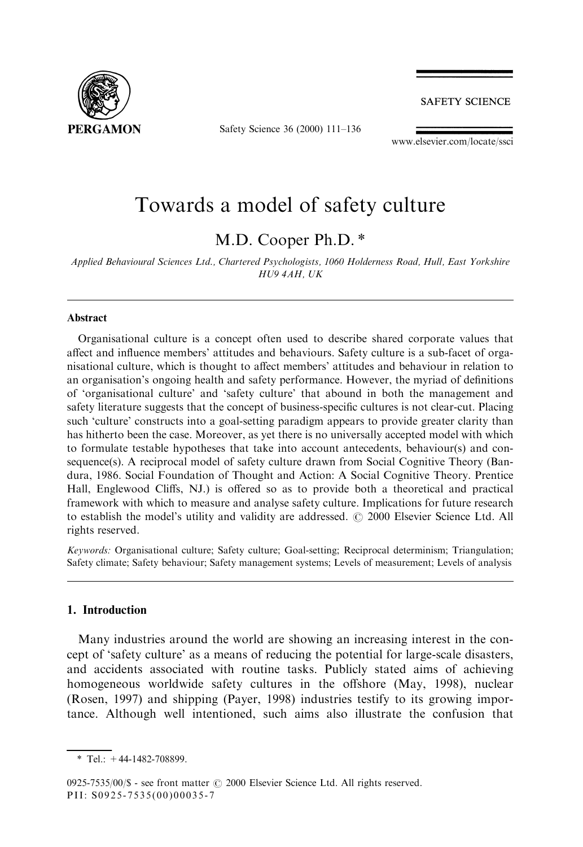

Safety Science 36 (2000) 111-136

**SAFETY SCIENCE** 

www.elsevier.com/locate/ssci

## Towards a model of safety culture

M.D. Cooper Ph.D. \*

Applied Behavioural Sciences Ltd., Chartered Psychologists, 1060 Holderness Road, Hull, East Yorkshire HU9 4AH, UK

#### Abstract

Organisational culture is a concept often used to describe shared corporate values that affect and influence members' attitudes and behaviours. Safety culture is a sub-facet of organisational culture, which is thought to affect members' attitudes and behaviour in relation to an organisation's ongoing health and safety performance. However, the myriad of definitions of `organisational culture' and `safety culture' that abound in both the management and safety literature suggests that the concept of business-specific cultures is not clear-cut. Placing such 'culture' constructs into a goal-setting paradigm appears to provide greater clarity than has hitherto been the case. Moreover, as yet there is no universally accepted model with which to formulate testable hypotheses that take into account antecedents, behaviour(s) and consequence(s). A reciprocal model of safety culture drawn from Social Cognitive Theory (Bandura, 1986. Social Foundation of Thought and Action: A Social Cognitive Theory. Prentice Hall, Englewood Cliffs, NJ.) is offered so as to provide both a theoretical and practical framework with which to measure and analyse safety culture. Implications for future research to establish the model's utility and validity are addressed.  $\odot$  2000 Elsevier Science Ltd. All rights reserved.

Keywords: Organisational culture; Safety culture; Goal-setting; Reciprocal determinism; Triangulation; Safety climate; Safety behaviour; Safety management systems; Levels of measurement; Levels of analysis

#### 1. Introduction

Many industries around the world are showing an increasing interest in the concept of `safety culture' as a means of reducing the potential for large-scale disasters, and accidents associated with routine tasks. Publicly stated aims of achieving homogeneous worldwide safety cultures in the offshore (May, 1998), nuclear (Rosen, 1997) and shipping (Payer, 1998) industries testify to its growing importance. Although well intentioned, such aims also illustrate the confusion that

 $*$  Tel.:  $+44-1482-708899$ .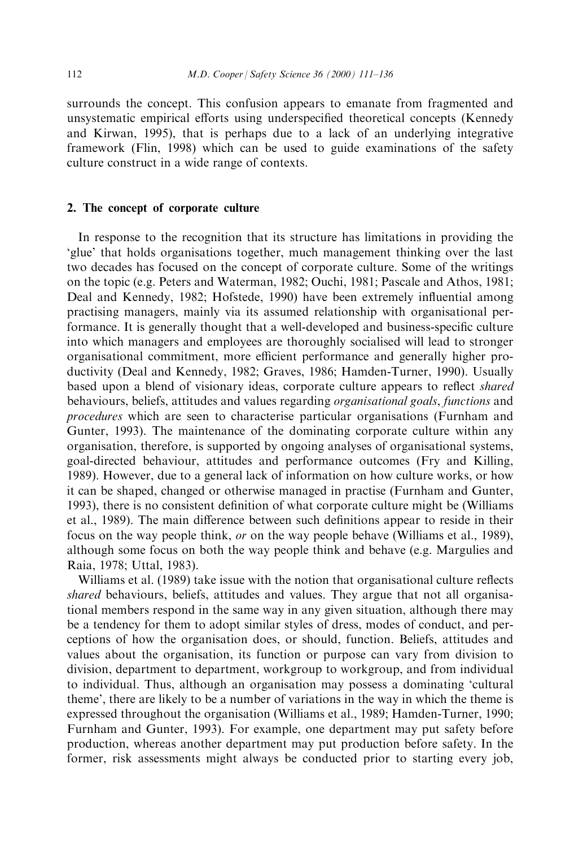surrounds the concept. This confusion appears to emanate from fragmented and unsystematic empirical efforts using underspecified theoretical concepts (Kennedy and Kirwan, 1995), that is perhaps due to a lack of an underlying integrative framework (Flin, 1998) which can be used to guide examinations of the safety culture construct in a wide range of contexts.

### 2. The concept of corporate culture

In response to the recognition that its structure has limitations in providing the `glue' that holds organisations together, much management thinking over the last two decades has focused on the concept of corporate culture. Some of the writings on the topic (e.g. Peters and Waterman, 1982; Ouchi, 1981; Pascale and Athos, 1981; Deal and Kennedy, 1982; Hofstede, 1990) have been extremely influential among practising managers, mainly via its assumed relationship with organisational performance. It is generally thought that a well-developed and business-specific culture into which managers and employees are thoroughly socialised will lead to stronger organisational commitment, more efficient performance and generally higher productivity (Deal and Kennedy, 1982; Graves, 1986; Hamden-Turner, 1990). Usually based upon a blend of visionary ideas, corporate culture appears to reflect *shared* behaviours, beliefs, attitudes and values regarding organisational goals, functions and procedures which are seen to characterise particular organisations (Furnham and Gunter, 1993). The maintenance of the dominating corporate culture within any organisation, therefore, is supported by ongoing analyses of organisational systems, goal-directed behaviour, attitudes and performance outcomes (Fry and Killing, 1989). However, due to a general lack of information on how culture works, or how it can be shaped, changed or otherwise managed in practise (Furnham and Gunter, 1993), there is no consistent definition of what corporate culture might be (Williams et al., 1989). The main difference between such definitions appear to reside in their focus on the way people think, or on the way people behave (Williams et al., 1989), although some focus on both the way people think and behave (e.g. Margulies and Raia, 1978; Uttal, 1983).

Williams et al. (1989) take issue with the notion that organisational culture reflects shared behaviours, beliefs, attitudes and values. They argue that not all organisational members respond in the same way in any given situation, although there may be a tendency for them to adopt similar styles of dress, modes of conduct, and perceptions of how the organisation does, or should, function. Beliefs, attitudes and values about the organisation, its function or purpose can vary from division to division, department to department, workgroup to workgroup, and from individual to individual. Thus, although an organisation may possess a dominating `cultural theme', there are likely to be a number of variations in the way in which the theme is expressed throughout the organisation (Williams et al., 1989; Hamden-Turner, 1990; Furnham and Gunter, 1993). For example, one department may put safety before production, whereas another department may put production before safety. In the former, risk assessments might always be conducted prior to starting every job,